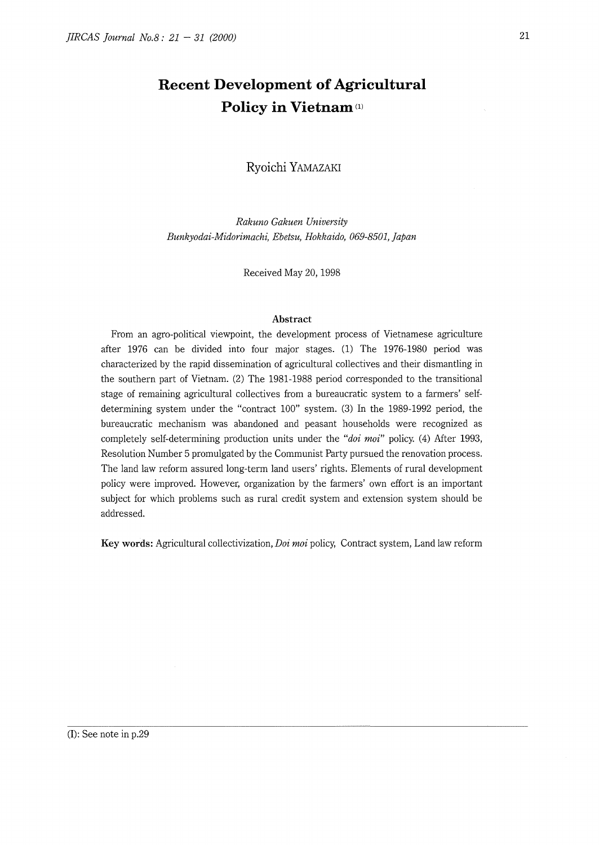# **Recent Development of Agricultural Policy in Vietnam**<sup>(1)</sup>

**Ryoichi** YAMAZAKI

*Rakuno Gakuen University Bunkyodai-Midorimachi, Ebetsu, Hokkaido, 069-8501, Japan* 

Received May 20, 1998

# **Abstract**

From an agro-political viewpoint, the development process of Vietnamese agriculture after 1976 can be divided into four major stages. (1) The 1976-1980 period was characterized by the rapid dissemination of agricultural collectives and their dismantling in the southern part of Vietnam. (2) The 1981-1988 period corresponded to the transitional stage of remaining agricultural collectives from a bureaucratic system to a farmers' selfdetermining system under the "contract 100" system. (3) In the 1989-1992 period, the bureaucratic mechanism was abandoned and peasant households were recognized as completely self-determining production units under the *"doi moi"* policy. (4) After 1993, Resolution Number 5 promulgated by the Communist Party pursued the renovation process. The land law reform assured long-term land users' rights. Elements of rural development policy were improved. However, organization by the farmers' own effort is an important subject for which problems such as rural credit system and extension system should be addressed.

**Key words:** Agricultural collectivization, *Doi moi* policy, Contract system, Land law reform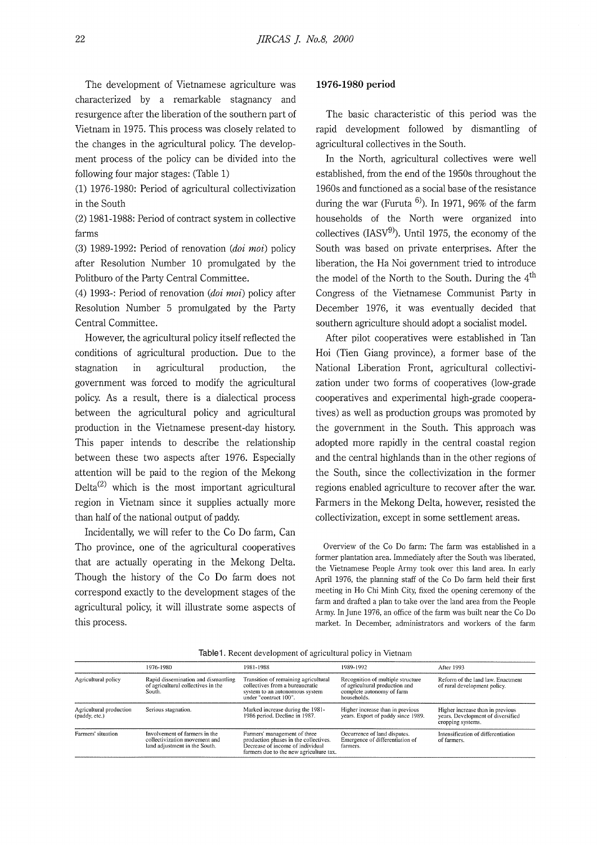The development of Vietnamese agriculture was characterized by a remarkable stagnancy and resurgence after the liberation of the southern part of Vietnam in 1975. This process was closely related to the changes in the agricultural policy. The development process of the policy can be divided into the following four major stages: (Table **1)** 

(1) 1976-1980: Period of agricultural collectivization in the South

(2) 1981-1988: Period of contract system in collective farms

(3) 1989-1992: Period of renovation (doi moi) policy after Resolution Number 10 promulgated by the Politburo of the Party Central Committee.

(4) 1993-: Period of renovation (doi moi) policy after Resolution Number 5 promulgated by the Party Central Committee.

However, the agricultural policy itself reflected the conditions of agricultural production. Due to the stagnation in agricultural production, the government was forced to modify the agricultural policy. As a result, there is a dialectical process between the agricultural policy and agricultural production in the Vietnamese present-day history. This paper intends to describe the relationship between these two aspects after 1976. Especially attention will be paid to the region of the Mekong Delta<sup>(2)</sup> which is the most important agricultural region in Vietnam since it supplies actually more than half of the national output of paddy.

Incidentally, we will refer to the Co Do farm, Can Tho province, one of the agricultural cooperatives that are actually operating in the Mekong Delta. Though the history of the Co Do farm does not correspond exactly to the development stages of the agricultural policy, it will illustrate some aspects of this process.

### **1976-1980 period**

The basic characteristic of this period was the rapid development followed by dismantling of agricultural collectives in the South.

In the North, agricultural collectives were well established, from the end of the 1950s throughout the 1960s and functioned as a social base of the resistance during the war (Furuta  $^{6)}$ ). In 1971, 96% of the farm households of the North were organized into collectives  $(IASV<sup>9</sup>)$ . Until 1975, the economy of the South was based on private enterprises. After the liberation, the Ha Noi government tried to introduce the model of the North to the South. During the  $4<sup>th</sup>$ Congress of the Vietnamese Communist Party in December 1976, it was eventually decided that southern agriculture should adopt a socialist model.

After pilot cooperatives were established in Tan Hoi (Tien Giang province), a former base of the National Liberation Front, agricultural collectivization under two forms of cooperatives (low-grade cooperatives and experimental high-grade cooperatives) as well as production groups was promoted by the government in the South. This approach was adopted more rapidly in the central coastal region and the central highlands than in the other regions of the South, since the collectivization in the former regions enabled agriculture to recover after the war. Farmers in the Mekong Delta, however, resisted the collectivization, except in some settlement areas.

Overview of the Co Do farm: The farm was established in a former plantation area. Immediately after the South was liberated, the Vietnamese People Army took over this land area. In early April 1976, the planning staff of the Co Do farm held their first meeting in Ho Chi Minh City, fixed the opening ceremony of the farm and drafted a plan to take over the land area from the People Army. In June 1976, an office of the farm was built near the Co Do market. In December, administrators and workers of the farm

Table1. Recent development of agricultural policy in Vietnam

|                                          | 1976-1980                                                                                       | 1981-1988                                                                                                                                            | 1989-1992                                                                                                       | After 1993                                                                                 |
|------------------------------------------|-------------------------------------------------------------------------------------------------|------------------------------------------------------------------------------------------------------------------------------------------------------|-----------------------------------------------------------------------------------------------------------------|--------------------------------------------------------------------------------------------|
| Agricultural policy                      | Rapid dissemination and dismantling<br>of agricultural collectives in the<br>South.             | Transition of remaining agricultural<br>collectives from a bureaucratic<br>system to an autonomous system<br>under "contract 100".                   | Recognition of multiple structure<br>of agricultural production and<br>complete autonomy of farm<br>households. | Reform of the land law. Enactment<br>of rural development policy.                          |
| Agricultural production<br>(paddy, etc.) | Serious stagnation.                                                                             | Marked increase during the 1981-<br>1986 period. Decline in 1987.                                                                                    | Higher increase than in previous<br>years. Export of paddy since 1989.                                          | Higher increase than in previous<br>years. Development of diversified<br>cropping systems. |
| Farmers' situation                       | Involvement of farmers in the<br>collectivization movement and<br>land adjustment in the South. | Farmers' management of three<br>production phases in the collectives.<br>Decrease of income of individual<br>farmers due to the new agriculture tax. | Occurrence of land disputes.<br>Emergence of differentiation of<br>farmers.                                     | Intensification of differentiation<br>of farmers.                                          |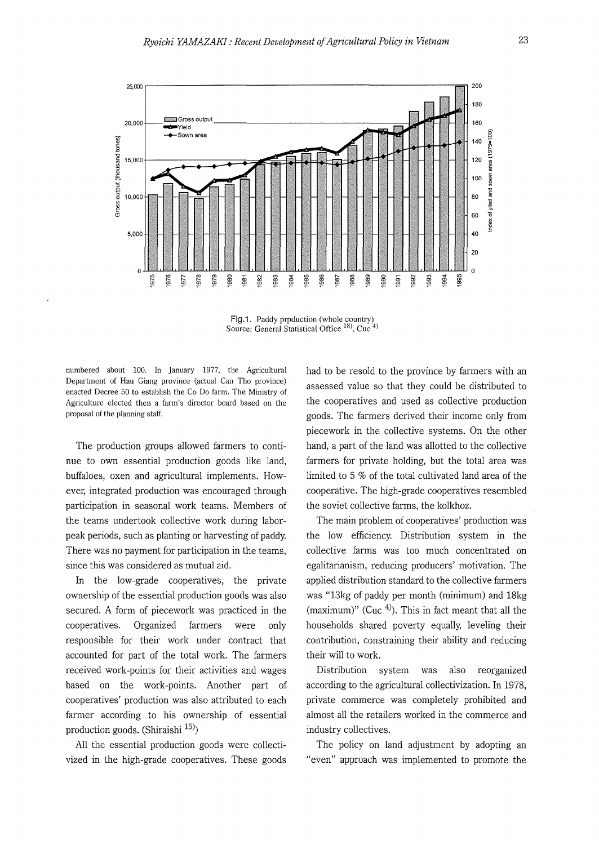

Fig.1. Paddy prpduction (whole country) Source: General Statistical Office <sup>18</sup>, Cuc<sup>4</sup>)

numbered about 100. In January 1977, the Agricultural Department of Hau Giang province (actual Can Tho province) enacted Decree 50 to establish the Co Do farm. The Ministry of Agriculture elected then a farm's director board based on the proposal of the planning staff.

The production groups allowed farmers to continue to own essential production goods like land, buffaloes, oxen and agricultural implements. However, integrated production was encouraged through participation in seasonal work teams. Members of the teams undertook collective work during laborpeak periods, such as planting or harvesting of paddy. There was no payment for participation in the teams, since this was considered as mutual aid.

In the low-grade cooperatives, the private ownership of the essential production goods was also secured. A form of piecework was practiced in the cooperatives. Organized farmers were only responsible for their work under contract that accounted for part of the total work. The farmers received work-points for their activities and wages based on the work-points. Another part of cooperatives' production was also attributed to each farmer according to his ownership of essential production goods. (Shiraishi 15)

All the essential production goods were collectivized in the high-grade cooperatives. These goods had to be resold to the province by farmers with an assessed value so that they could be distributed to the cooperatives and used as collective production goods. The farmers derived their income only from piecework in the collective systems. On the other hand, a part of the land was allotted to the collective farmers for private holding, but the total area was limited to 5 % of the total cultivated land area of the cooperative. The high-grade cooperatives resembled the soviet collective farms, the kolkhoz.

The main problem of cooperatives' production was the low efficiency. Distribution system in the collective farms was too much concentrated on egalitarianism, reducing producers' motivation. The applied distribution standard to the collective farmers was "13kg of paddy per month (minimum) and 18kg (maximum)" (Cuc  $4$ ). This in fact meant that all the households shared poverty equally, leveling their contribution, constraining their ability and reducing their will to work.

Distribution system was also reorganized according to the agricultural collectivization. In 1978, private commerce was completely prohibited and almost all the retailers worked in the commerce and industry collectives.

The policy on land adjustment by adopting an "even" approach was implemented to promote the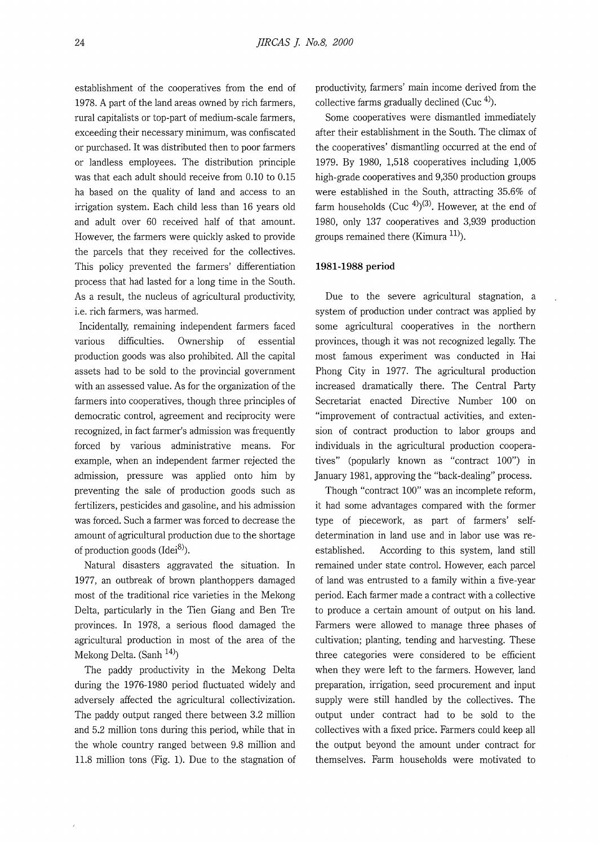establishment of the cooperatives from the end of 1978. A part of the land areas owned by rich farmers, rural capitalists or top-part of medium-scale farmers, exceeding their necessary minimum, was confiscated or purchased. It was distributed then to poor farmers or landless employees. The distribution principle was that each adult should receive from 0.10 to 0.15 ha based on the quality of land and access to an irrigation system. Each child less than 16 years old and adult over 60 received half of that amount. However, the farmers were quickly asked to provide the parcels that they received for the collectives. This policy prevented the farmers' differentiation process that had lasted for a long time in the South. As a result, the nucleus of agricultural productivity, i.e. rich farmers, was harmed.

Incidentally, remaining independent farmers faced various difficulties. Ownership of essential production goods was also prohibited. All the capital assets had to be sold to the provincial government with an assessed value. As for the organization of the farmers into cooperatives, though three principles of democratic control, agreement and reciprocity were recognized, in fact farmer's admission was frequently forced by various administrative means. For example, when an independent farmer rejected the admission, pressure was applied onto him by preventing the sale of production goods such as fertilizers, pesticides and gasoline, and his admission was forced. Such a farmer was forced to decrease the amount of agricultural production due to the shortage of production goods  $(Idei<sup>8</sup>)$ .

Natural disasters aggravated the situation. In 1977, an outbreak of brown planthoppers damaged most of the traditional rice varieties in the Mekong Delta, particularly in the Tien Giang and Ben Tre provinces. In 1978, a serious flood damaged the agricultural production in most of the area of the Mekong Delta. (Sanh  $^{14)}$ )

The paddy productivity in the Mekong Delta during the 1976-1980 period fluctuated widely and adversely affected the agricultural collectivization. The paddy output ranged there between 3.2 million and 5.2 million tons during this period, while that in the whole country ranged between 9.8 million and 11.8 million tons (Fig. 1). Due to the stagnation of productivity, farmers' main income derived from the collective farms gradually declined (Cuc  $4$ ).

Some cooperatives were dismantled immediately after their establishment in the South. The climax of the cooperatives' dismantling occurred at the end of 1979. By 1980, 1,518 cooperatives including 1,005 high-grade cooperatives and 9,350 production groups were established in the South, attracting 35.6% of farm households  $(Cuc^{4})^{(3)}$ . However, at the end of 1980, only 137 cooperatives and 3,939 production groups remained there (Kimura 11).

# **1981-1988 period**

Due to the severe agricultural stagnation, a system of production under contract was applied by some agricultural cooperatives in the northern provinces, though it was not recognized legally. The most famous experiment was conducted in Hai Phong City in 1977. The agricultural production increased dramatically there. The Central Party Secretariat enacted Directive Number 100 on "improvement of contractual activities, and extension of contract production to labor groups and individuals in the agricultural production cooperatives" (popularly known as "contract 100") in January 1981, approving the "back-dealing" process.

Though "contract 100" was an incomplete reform, it had some advantages compared with the former type of piecework, as part of farmers' selfdetermination in land use and in labor use was reestablished. According to this system, land still remained under state control. However, each parcel of land was entrusted to a family within a five-year period. Each farmer made a contract with a collective to produce a certain amount of output on his land. Farmers were allowed to manage three phases of cultivation; planting, tending and harvesting. These three categories were considered to be efficient when they were left to the farmers. However, land preparation, irrigation, seed procurement and input supply were still handled by the collectives. The output under contract had to be sold to the collectives with a fixed price. Farmers could keep all the output beyond the amount under contract for themselves. Farm households were motivated to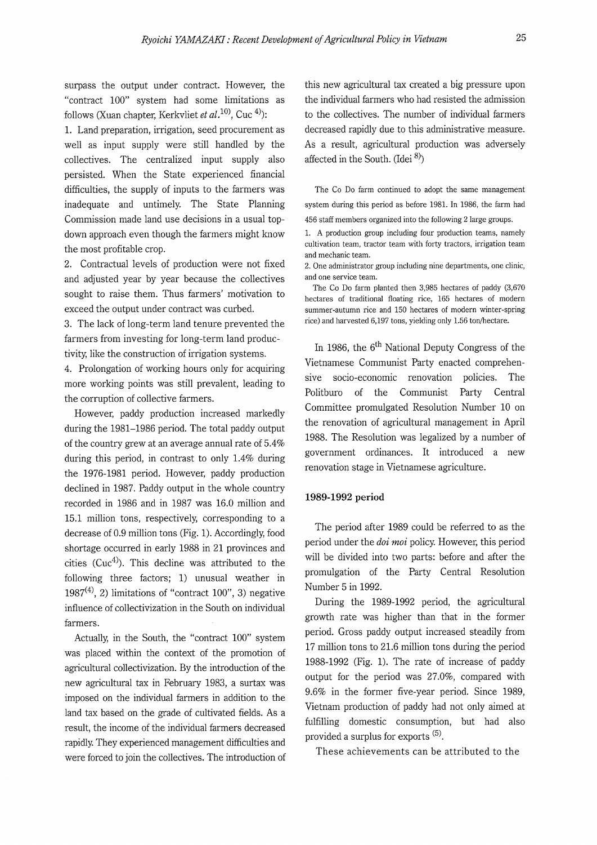surpass the output under contract. However, the "contract 100" system had some limitations as follows (Xuan chapter, Kerkvliet *et al.*<sup>10)</sup>, Cuc <sup>4)</sup>

1. Land preparation, irrigation, seed procurement as well as input supply were still handled by the collectives. The centralized input supply also persisted. When the State experienced financial difficulties, the supply of inputs to the farmers was inadequate and untimely. The State Planning Commission made land use decisions in a usual topdown approach even though the farmers might know the most profitable crop.

2. Contractual levels of production were not fixed and adjusted year by year because the collectives sought to raise them. Thus farmers' motivation to exceed the output under contract was curbed.

3. The lack of long-term land tenure prevented the farmers from investing for long-term land productivity, like the construction of irrigation systems.

4. Prolongation of working hours only for acquiring more working points was still prevalent, leading to the corruption of collective farmers.

However, paddy production increased markedly during the 1981-1986 period. The total paddy output of the country grew at an average annual rate of 5.4% during this period, in contrast to only 1.4% during the 1976-1981 period. However, paddy production declined in 1987. Paddy output in the whole country recorded in 1986 and in 1987 was 16.0 million and 15.1 million tons, respectively, corresponding to a decrease of 0.9 million tons (Fig. 1). Accordingly, food shortage occurred in early 1988 in 21 provinces and cities ( $Cuc<sup>4</sup>$ ). This decline was attributed to the following three factors; 1) unusual weather in  $1987<sup>(4)</sup>$ , 2) limitations of "contract 100", 3) negative influence of collectivization in the South on individual farmers.

Actually, in the South, the "contract 100" system was placed within the context of the promotion of agricultural collectivization. By the introduction of the new agricultural tax in February 1983, a surtax was imposed on the individual farmers in addition to the land tax based on the grade of cultivated fields. As a result, the income of the individual farmers decreased rapidly. They experienced management difficulties and were forced to join the collectives. The introduction of

this new agricultural tax created a big pressure upon the individual farmers who had resisted the admission to the collectives. The number of individual farmers decreased rapidly due to this administrative measure. As a result, agricultural production was adversely affected in the South. (Idei 8)

The Co Do farm continued to adopt the same management system during this period as before 1981. In 1986, the farm had 456 staff members organized into the following 2 large groups.

1. A production group including four production teams, namely cultivation team, tractor team with forty tractors, irrigation team and mechanic team.

2. One administrator group including nine departments, one clinic, and one service team.

The Co Do farm planted then 3,985 hectares of paddy (3,670 hectares of traditional floating rice, 165 hectares of modern summer-autumn rice and 150 hectares of modern winter-spring rice) and harvested 6,197 tons, yielding only 1.56 ton/hectare.

In 1986, the  $6<sup>th</sup>$  National Deputy Congress of the Vietnamese Communist Party enacted comprehensive socio-economic renovation policies. The Politburo of the Communist Party Central Committee promulgated Resolution Number 10 on the renovation of agricultural management in April 1988. The Resolution was legalized by a number of government ordinances. It introduced a new renovation stage in Vietnamese agriculture.

# **1989-1992 period**

The period after 1989 could be referred to as the period under the *doi moi* policy. However, this period will be divided into two parts: before and after the promulgation of the Party Central Resolution Number 5 in 1992.

During the 1989-1992 period, the agricultural growth rate was higher than that in the former period. Gross paddy output increased steadily from 17 million tons to 21.6 million tons during the period 1988-1992 (Fig. 1). The rate of increase of paddy output for the period was 27.0%, compared with 9.6% in the former five-year period. Since 1989, Vietnam production of paddy had not only aimed at fulfilling domestic consumption, but had also provided a surplus for exports <sup>(5)</sup>.

These achievements can be attributed to the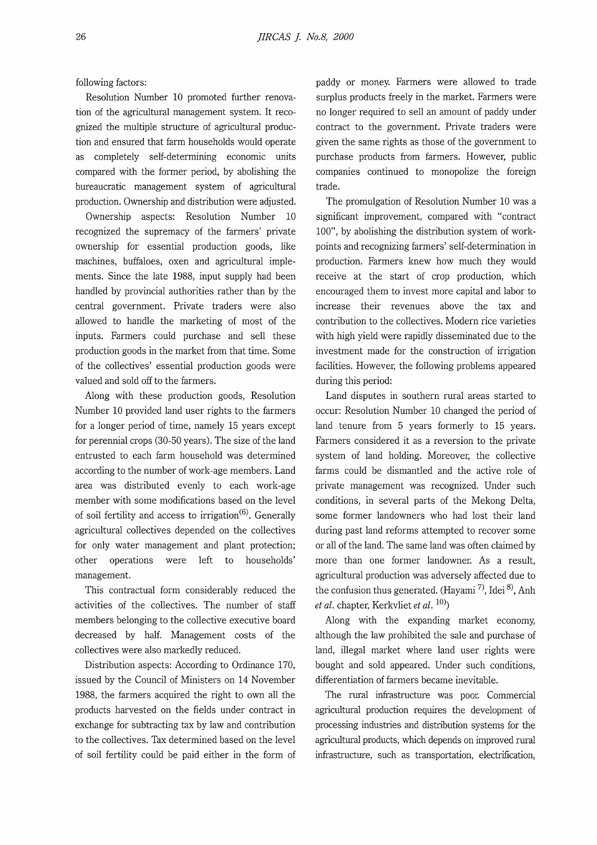following factors:

Resolution Number 10 promoted further renovation of the agricultural management system. It recognized the multiple structure of agricultural production and ensured that farm households would operate as completely self-determining economic units compared with the former period, by abolishing the bureaucratic management system of agricultural production. Ownership and distribution were adjusted.

Ownership aspects: Resolution Number 10 recognized the supremacy of the farmers' private ownership for essential production goods, like machines, buffaloes, oxen and agricultural implements. Since the late 1988, input supply had been handled by provincial authorities rather than by the central government. Private traders were also allowed to handle the marketing of most of the inputs. Farmers could purchase and sell these production goods in the market from that time. Some of the collectives' essential production goods were valued and sold off to the farmers.

Along with these production goods, Resolution Number 10 provided land user rights to the farmers for a longer period of time, namely 15 years except for perennial crops (30-50 years). The size of the land entrusted to each farm household was determined according to the number of work-age members. Land area was distributed evenly to each work-age member with some modifications based on the level of soil fertility and access to irrigation<sup>(6)</sup>. Generally agricultural collectives depended on the collectives for only water management and plant protection; other operations were left to households' management.

This contractual form considerably reduced the activities of the collectives. The number of staff members belonging to the collective executive board decreased by half. Management costs of the collectives were also markedly reduced.

Distribution aspects: According to Ordinance 170, issued by the Council of Ministers on 14 November 1988, the farmers acquired the right to own all the products harvested on the fields under contract in exchange for subtracting tax by law and contribution to the collectives. Tax determined based on the level of soil fertility could be paid either in the form of paddy or money. Farmers were allowed to trade surplus products freely in the market. Farmers were no longer required to sell an amount of paddy under contract to the government. Private traders were given the same rights as those of the government to purchase products from farmers. However, public companies continued to monopolize the foreign trade.

The promulgation of Resolution Number 10 was a significant improvement, compared with "contract 100", by abolishing the distribution system of workpoints and recognizing farmers' self-determination in production. Farmers knew how much they would receive at the start of crop production, which encouraged them to invest more capital and labor to increase their revenues above the tax and contribution to the collectives. Modern rice varieties with high yield were rapidly disseminated due to the investment made for the construction of irrigation facilities. However, the following problems appeared during this period:

Land disputes in southern rural areas started to occur: Resolution Number 10 changed the period of land tenure from 5 years formerly to 15 years. Farmers considered it as a reversion to the private system of land holding. Moreover, the collective farms could be dismantled and the active role of private management was recognized. Under such conditions, in several parts of the Mekong Delta, some former landowners who had lost their land during past land reforms attempted to recover some or all of the land. The same land was often claimed by more than one former landowner. As a result, agricultural production was adversely affected due to the confusion thus generated. (Hayami<sup>7)</sup>, Idei<sup>8)</sup>, Anh *et al.* chapter, Kerkvliet *et al.* 10))

Along with the expanding market economy, although the law prohibited the sale and purchase of land, illegal market where land user rights were bought and sold appeared. Under such conditions, differentiation of farmers became inevitable.

The rural infrastructure was poor. Commercial agricultural production requires the development of processing industries and distribution systems for the agricultural products, which depends on improved rural infrastructure, such as transportation, electrification,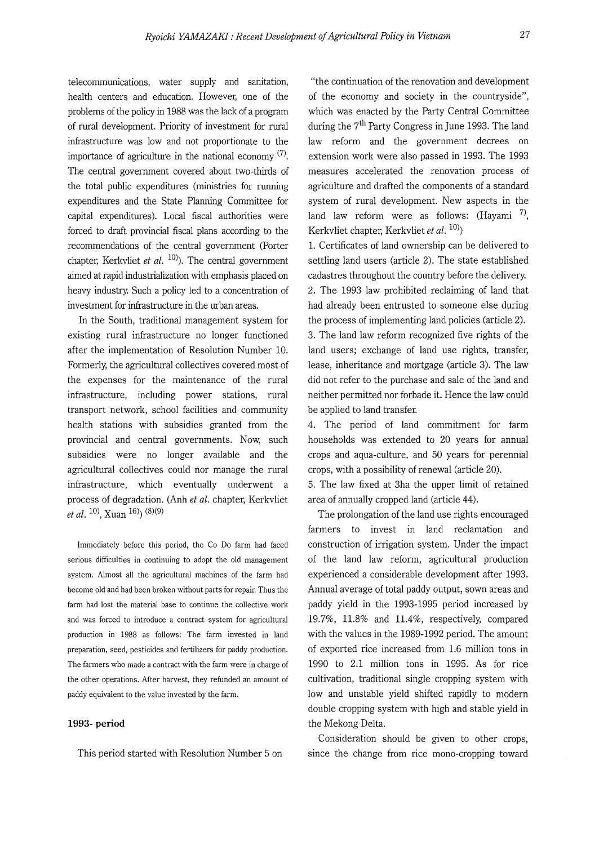telecommunications, water supply and sanitation, health centers and education. However, one of the problems of the policy in 1988 was the lack of a program of rural development. Priority of investment for rural infrastructure was low and not proportionate to the importance of agriculture in the national economy  $(7)$ . The central government covered about two-thirds of the total public expenditures (ministries for running expenditures and the State Planning Committee for capital expenditures). Local fiscal authorities were forced to draft provincial fiscal plans according to the recommendations of the central government (Porter chapter, Kerkvliet *et al.* <sup>10</sup>). The central government aimed at rapid industrialization with emphasis placed on heavy industry. Such a policy led to a concentration of investment for infrastructure in the urban areas.

In the South, traditional management system for existing rural infrastructure no longer functioned after the implementation of Resolution Number 10. Formerly, the agricultural collectives covered most of the expenses for the maintenance of the rural infrastructure, including power stations, rural transport network, school facilities and community health stations with subsidies granted from the provincial and central governments. Now, such subsidies were no longer available and the agricultural collectives could nor manage the rural infrastructure, which eventually underwent a process of degradation. (Anh *et al.* chapter, Kerkvliet *et al.* <sup>10</sup>, Xuan<sup>16</sup>)<sup>(3)(9)</sup>

Immediately before this period, the Co Do farm had faced serious difficulties in continuing to adopt the old management system. Almost all the agricultural machines of the farm had become old and had been broken without parts for repair. Thus the farm had lost the material base to continue the collective work and was forced to introduce a contract system for agricultural production in 1988 as follows: The farm invested in land preparation, seed, pesticides and fertilizers for paddy production. The farmers who made a contract with the farm were in charge of the other operations. After harvest, they refunded an amount of paddy equivalent to the value invested by the farm.

#### **1993- period**

This period started with Resolution Number 5 on

"the continuation of the renovation and development of the economy and society in the countryside", which was enacted by the Party Central Committee during the  $7<sup>th</sup>$  Party Congress in June 1993. The land law reform and the government decrees on extension work were also passed in 1993. The 1993 measures accelerated the renovation process of agriculture and drafted the components of a standard system of rural development. New aspects in the land law reform were as follows: (Hayami  $^{7}$ ), Kerkvliet chapter, Kerkvliet *et al.* 10))

l. Certificates of land ownership can be delivered to settling land users (article 2). The state established cadastres throughout the country before the delivery. 2. The 1993 law prohibited reclaiming of land that had already been entrusted to someone else during the process of implementing land policies (article 2). 3. The land law reform recognized five rights of the land users; exchange of land use rights, transfer, lease, inheritance and mortgage (article 3). The law did not refer to the purchase and sale of the land and neither permitted nor forbade it. Hence the law could be applied to land transfer.

4. The period of land commitment for farm households was extended to 20 years for annual crops and aqua-culture, and 50 years for perennial crops, with a possibility of renewal (article 20).

5. The law fixed at 3ha the upper limit of retained area of annually cropped land (article 44).

The prolongation of the land use rights encouraged farmers to invest in land reclamation and construction of irrigation system. Under the impact of the land law reform, agricultural production experienced a considerable development after 1993. Annual average of total paddy output, sown areas and paddy yield in the 1993-1995 period increased by 19.7%, 11.8% and 11.4%, respectively, compared with the values in the 1989-1992 period. The amount of exported rice increased from 1.6 million tons in 1990 to 2.1 million tons in 1995. As for rice cultivation, traditional single cropping system with low and unstable yield shifted rapidly to modern double cropping system with high and stable yield in the Mekong Delta.

Consideration should be given to other crops, since the change from rice mono-cropping toward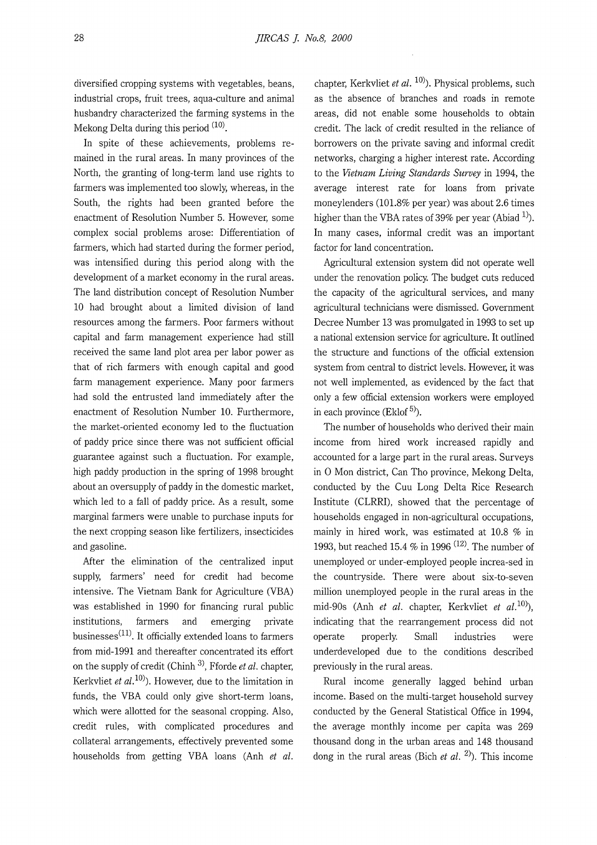diversified cropping systems with vegetables, beans, industrial crops, fruit trees, aqua-culture and animal husbandry characterized the farming systems in the Mekong Delta during this period  $(10)$ .

In spite of these achievements, problems remained in the rural areas. In many provinces of the North, the granting of long-term land use rights to farmers was implemented too slowly, whereas, in the South, the rights had been granted before the enactment of Resolution Number 5. However, some complex social problems arose: Differentiation of farmers, which had started during the former period, was intensified during this period along with the development of a market economy in the rural areas. The land distribution concept of Resolution Number 10 had brought about a limited division of land resources among the farmers. Poor farmers without capital and farm management experience had still received the same land plot area per labor power as that of rich farmers with enough capital and good farm management experience. Many poor farmers had sold the entrusted land immediately after the enactment of Resolution Number 10. Furthermore, the market-oriented economy led to the fluctuation of paddy price since there was not sufficient official guarantee against such a fluctuation. For example, high paddy production in the spring of 1998 brought about an oversupply of paddy in the domestic market, which led to a fall of paddy price. As a result, some marginal farmers were unable to purchase inputs for the next cropping season like fertilizers, insecticides and gasoline.

After the elimination of the centralized input supply, farmers' need for credit had become intensive. The Vietnam Bank for Agriculture (VBA) was established in 1990 for financing rural public institutions, farmers and emerging private businesses<sup> $(11)$ </sup>. It officially extended loans to farmers from mid-1991 and thereafter concentrated its effort on the supply of credit (Chinh 3), Fforde *et al.* chapter, Kerkvliet *et al.*  $10$ ). However, due to the limitation in funds, the VBA could only give short-term loans, which were allotted for the seasonal cropping. Also, credit rules, with complicated procedures and collateral arrangements, effectively prevented some households from getting VBA loans (Anh *et al.* 

chapter, Kerkvliet *et al.* <sup>10</sup>). Physical problems, such as the absence of branches and roads in remote areas, did not enable some households to obtain credit. The lack of credit resulted in the reliance of borrowers on the private saving and informal credit networks, charging a higher interest rate. According to the *Vietnam Living Standards Survey* in 1994, the average interest rate for loans from private moneylenders (101.8% per year) was about 2.6 times higher than the VBA rates of 39% per year (Abiad  $^{1}$ ). In many cases, informal credit was an important factor for land concentration.

Agricultural extension system did not operate well under the renovation policy. The budget cuts reduced the capacity of the agricultural services, and many agricultural technicians were dismissed. Government Decree Number 13 was promulgated in 1993 to set up a national extension service for agriculture. It outlined the structure and functions of the official extension system from central to district levels. However, it was not well implemented, as evidenced by the fact that only a few official extension workers were employed in each province (Eklof  $5$ ).

The number of households who derived their main income from hired work increased rapidly and accounted for a large part in the rural areas. Surveys in O Mon district, Can Tho province, Mekong Delta, conducted by the Cuu Long Delta Rice Research Institute (CLRRI), showed that the percentage of households engaged in non-agricultural occupations, mainly in hired work, was estimated at 10.8 % in 1993, but reached 15.4 % in 1996  $(12)$ . The number of unemployed or under-employed people increa-sed in the countryside. There were about six-to-seven million unemployed people in the rural areas in the mid-90s (Anh *et al.* chapter, Kerkvliet *et al.* <sup>10</sup>), indicating that the rearrangement process did not operate properly. Small industries were underdeveloped due to the conditions described previously in the rural areas.

Rural income generally lagged behind urban income. Based on the multi-target household survey conducted by the General Statistical Office in 1994, the average monthly income per capita was 269 thousand dong in the urban areas and 148 thousand dong in the rural areas (Bich *et al.* 2)). This income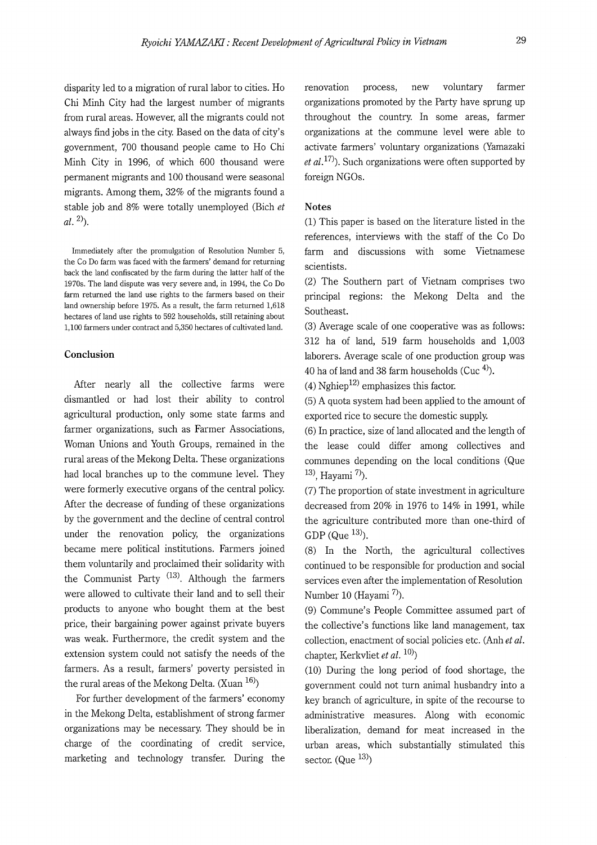disparity led to a migration of rural labor to cities. Ho Chi Minh City had the largest number of migrants from rural areas. However, all the migrants could not always find jobs in the city. Based on the data of city's government, 700 thousand people came to Ho Chi Minh City in 1996, of which 600 thousand were permanent migrants and 100 thousand were seasonal migrants. Among them, 32% of the migrants found a stable job and 8% were totally unemployed (Bich *et*   $al.$ <sup>2)</sup>).

Immediately after the promulgation of Resolution Number 5, the Co Do farm was faced with the farmers' demand for returning back the land confiscated by the farm during the latter half of the 1970s. The land dispute was very severe and, in 1994, the Co Do farm returned the land use rights to the farmers based on their land ownership before 1975. As a result, the farm returned 1,618 hectares of land use rights to 592 households, still retaining about 1,100 farmers under contract and 5,350 hectares of cultivated land.

#### **Conclusion**

After nearly all the collective farms were dismantled or had lost their ability to control agricultural production, only some state farms and farmer organizations, such as Farmer Associations, Woman Unions and Youth Groups, remained in the rural areas of the Mekong Delta. These organizations had local branches up to the commune level. They were formerly executive organs of the central policy. After the decrease of funding of these organizations by the government and the decline of central control under the renovation policy, the organizations became mere political institutions. Farmers joined them voluntarily and proclaimed their solidarity with the Communist Party  $^{(13)}$ . Although the farmers were allowed to cultivate their land and to sell their products to anyone who bought them at the best price, their bargaining power against private buyers was weak. Furthermore, the credit system and the extension system could not satisfy the needs of the farmers. As a result, farmers' poverty persisted in the rural areas of the Mekong Delta. (Xuan  $16$ )

For further development of the farmers' economy in the Mekong Delta, establishment of strong farmer organizations may be necessary. They should be in charge of the coordinating of credit service, marketing and technology transfer. During the

renovation process, new voluntary farmer organizations promoted by the Party have sprung up throughout the country. In some areas, farmer organizations at the commune level were able to activate farmers' voluntary organizations (Yamazaki *et al.*<sup>17</sup>). Such organizations were often supported by foreign NGOs.

# **Notes**

(1) This paper is based on the literature listed in the references, interviews with the staff of the Co Do farm and discussions with some Vietnamese scientists.

(2) The Southern part of Vietnam comprises two principal regions: the Mekong Delta and the Southeast.

(3) Average scale of one cooperative was as follows: 312 ha of land, 519 farm households and 1,003 laborers. Average scale of one production group was 40 ha of land and 38 farm households (Cuc  $4$ ).

(4) Nghiep<sup>12)</sup> emphasizes this factor.

(5) A quota system had been applied to the amount of exported rice to secure the domestic supply.

(6) In practice, size of land allocated and the length of the lease could differ among collectives and communes depending on the local conditions (Que  $(13)$ , Hayami  $(7)$ ).

(7) The proportion of state investment in agriculture decreased from 20% in 1976 to 14% in 1991, while the agriculture contributed more than one-third of GDP (Que  $^{13}$ ).

(8) In the North, the agricultural collectives continued to be responsible for production and social services even after the implementation of Resolution Number 10 (Hayami  $^{7}$ ).

(9) Commune's People Committee assumed part of the collective's functions like land management, tax collection, enactment of social policies etc. (Anh *et al.*  chapter, Kerkvliet *et al.* 10))

(10) During the long period of food shortage, the government could not turn animal husbandry into a key branch of agriculture, in spite of the recourse to administrative measures. Along with economic liberalization, demand for meat increased in the urban areas, which substantially stimulated this sector. (Que  $^{13)}$ )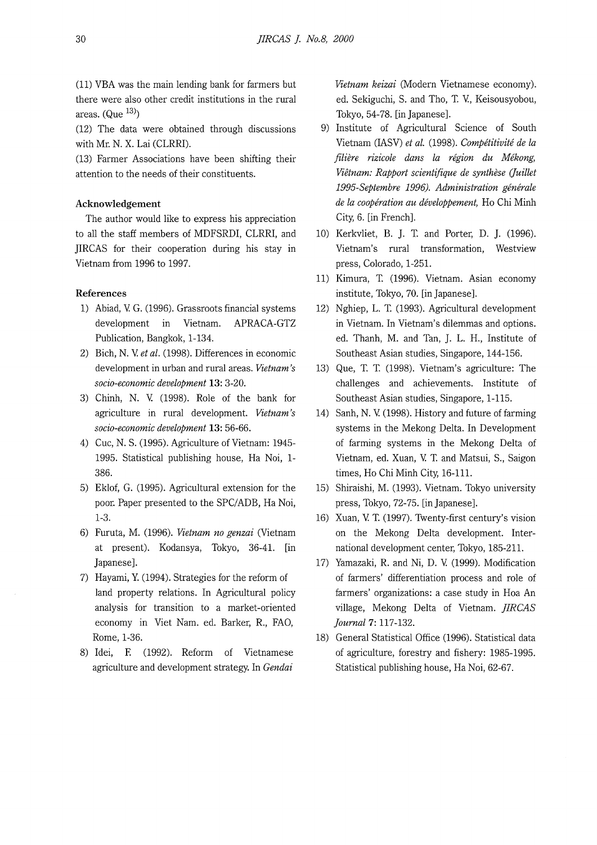(11) VEA was the main lending bank for farmers but there were also other credit institutions in the rural areas.  $(Que<sup>13</sup>)$ 

(12) The data were obtained through discussions with Mr. N. X. Lai (CLRRI).

(13) Farmer Associations have been shifting their attention to the needs of their constituents.

# **Acknowledgement**

The author would like to express his appreciation to all the staff members of MDFSRDI, CLRRI, and JIRCAS for their cooperation during his stay in Vietnam from 1996 to 1997.

# **References**

- 1) Abiad, V. G. (1996). Grassroots financial systems development in Vietnam. APRACA-GTZ Publication, Bangkok, 1-134.
- 2) Bich, N. V. *et al.* (1998). Differences in economic development in urban and rural areas. *Vietnam's socio-economic development* **13:** 3-20.
- 3) Chinh, N. V. (1998). Role of the bank for agriculture in rural development. *Vietnam's socio-economic development* **13:** 56-66.
- 4) Cuc, N. S. (1995). Agriculture of Vietnam: 1945- 1995. Statistical publishing house, Ha Noi, **1-** 386.
- 5) Eklof, G. (1995). Agricultural extension for the poor. Paper presented to the SPC/ADB, Ha Noi, 1-3.
- 6) Furuta, M. (1996). *Vietnam no genzai* (Vietnam at present). Kodansya, Tokyo, 36-41. [in Japanese].
- 7) Hayami, Y. (1994). Strategies for the reform of land property relations. In Agricultural policy analysis for transition to a market-oriented economy in Viet Nam. ed. Barker, R., FAO, Rome, 1-36.
- 8) Idei, E (1992). Reform of Vietnamese agriculture and development strategy. In *Gendai*

*Vietnam keizai* (Modern Vietnamese economy). ed. Sekiguchi, S. and Tho, T. V., Keisousyobou, Tokyo, 54-78. [in Japanese].

- 9) Institute of Agricultural Science of South Vietnam (IASV) *et al.* (1998). *Competitivite de la filiere rizicole dans la region du Mekong, Vietnam: Rapport scientifique de synthese (Juillet 1995-Septembre 1996). Administration generate de la cooperation au developpement,* Ho Chi Minh City, 6. [in French].
- 10) Kerkvliet, B. J. T. and Porter, D. J. (1996). Vietnam's rural transformation, Westview press, Colorado, 1-251.
- 11) Kimura, T. (1996). Vietnam. Asian economy institute, Tokyo, 70. [inJapanese].
- 12) Nghiep, L. T. (1993). Agricultural development in Vietnam. In Vietnam's dilemmas and options. ed. Thanh, M. and Tan, J. L. H., Institute of Southeast Asian studies, Singapore, 144-156.
- 13) Que, T. T. (1998). Vietnam's agriculture: The challenges and achievements. Institute of Southeast Asian studies, Singapore, 1-115.
- 14) Sanh, N. V. (1998). History and future of farming systems in the Mekong Delta. In Development of farming systems in the Mekong Delta of Vietnam, ed. Xuan, V. T. and Matsui, S., Saigon times, Ho Chi Minh City, 16-111.
- 15) Shiraishi, M. (1993). Vietnam. Tokyo university press, Tokyo, 72-75. [in Japanese].
- 16) Xuan, V. T. (1997). Twenty-first century's vision on the Mekong Delta development. International development center, Tokyo, 185-211.
- 17) Yamazaki, R. and Ni, D. V. (1999). Modification of farmers' differentiation process and role of farmers' organizations: a case study in Hoa An village, Mekong Delta of Vietnam. *JIRCAS journal* **7:** 117-132.
- 18) General Statistical Office (1996). Statistical data of agriculture, forestry and fishery: 1985-1995. Statistical publishing house, Ha Noi, 62-67.